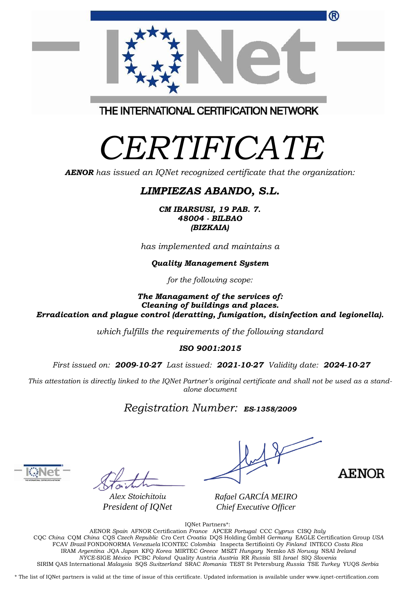| ®                                       |  |
|-----------------------------------------|--|
| THE INTERNATIONAL CERTIFICATION NETWORK |  |

## *CERTIFICATE*

*AENOR has issued an IQNet recognized certificate that the organization:*

## *LIMPIEZAS ABANDO, S.L.*

*CM IBARSUSI, 19 PAB. 7. 48004 - BILBAO (BIZKAIA)*

*has implemented and maintains a*

*Quality Management System*

*for the following scope:* 

*The Managament of the services of: Cleaning of buildings and places. Erradication and plague control (deratting, fumigation, disinfection and legionella).*

*which fulfills the requirements of the following standard*

*ISO 9001:2015*

*First issued on: 2009-10-27 Last issued: 2021-10-27 Validity date: 2024-10-27*

This attestation is directly linked to the IQNet Partner's original certificate and shall not be used as a stand*alone document*

*Registration Number: ES-1358/2009*



*Alex Stoichitoiu President of IQNet*

**AENOR** 

*Rafael GARCÍA MEIRO Chief Executive Officer*

IQNet Partners\*:

AENOR *Spain* AFNOR Certification *France* APCER *Portugal* CCC *Cyprus* CISQ *Italy* CQC *China* CQM *China* CQS *Czech Republic* Cro Cert *Croatia* DQS Holding GmbH *Germany* EAGLE Certification Group *USA* FCAV *Brazil* FONDONORMA *Venezuela* ICONTEC *Colombia* Inspecta Sertifiointi Oy *Finland* INTECO *Costa Rica* IRAM *Argentina* JQA *Japan* KFQ *Korea* MIRTEC *Greece* MSZT *Hungary* Nemko AS *Norway* NSAI *Ireland NYCE-*SIGE *México* PCBC *Poland* Quality Austria *Austria* RR *Russia* SII *Israel* SIQ *Slovenia*  SIRIM QAS International *Malaysia* SQS *Switzerland* SRAC *Romania* TEST St Petersburg *Russia* TSE *Turkey* YUQS *Serbia*

\* The list of IQNet partners is valid at the time of issue of this certificate. Updated information is available under www.iqnet-certification.com